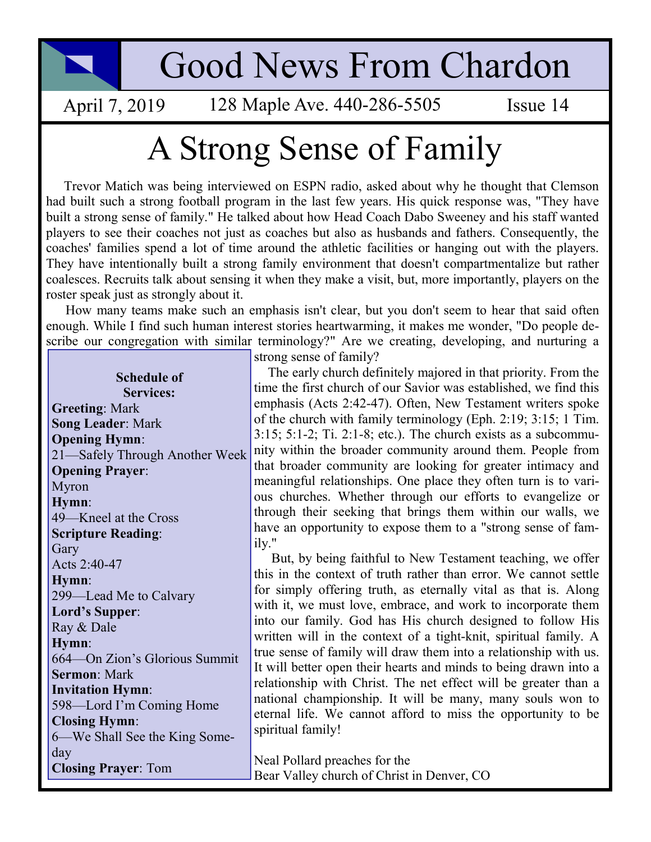## Good News From Chardon

April 7, 2019 128 Maple Ave. 440-286-5505 Issue 14

## A Strong Sense of Family

 Trevor Matich was being interviewed on ESPN radio, asked about why he thought that Clemson had built such a strong football program in the last few years. His quick response was, "They have built a strong sense of family." He talked about how Head Coach Dabo Sweeney and his staff wanted players to see their coaches not just as coaches but also as husbands and fathers. Consequently, the coaches' families spend a lot of time around the athletic facilities or hanging out with the players. They have intentionally built a strong family environment that doesn't compartmentalize but rather coalesces. Recruits talk about sensing it when they make a visit, but, more importantly, players on the roster speak just as strongly about it.

 How many teams make such an emphasis isn't clear, but you don't seem to hear that said often enough. While I find such human interest stories heartwarming, it makes me wonder, "Do people describe our congregation with similar terminology?" Are we creating, developing, and nurturing a

| <b>Schedule of</b><br><b>Services:</b> |
|----------------------------------------|
| <b>Greeting: Mark</b>                  |
| <b>Song Leader: Mark</b>               |
| <b>Opening Hymn:</b>                   |
| 21—Safely Through Another Week         |
| <b>Opening Prayer:</b>                 |
|                                        |
| Myron                                  |
| Hymn:                                  |
| 49—Kneel at the Cross                  |
| <b>Scripture Reading:</b>              |
| Gary                                   |
| Acts 2:40-47                           |
| Hymn:                                  |
| 299—Lead Me to Calvary                 |
| Lord's Supper:                         |
| Ray & Dale                             |
| Hymn:                                  |
| 664—On Zion's Glorious Summit          |
| <b>Sermon: Mark</b>                    |
| <b>Invitation Hymn:</b>                |
| 598—Lord I'm Coming Home               |
| <b>Closing Hymn:</b>                   |
| 6—We Shall See the King Some-          |
|                                        |
| day                                    |
| <b>Closing Prayer: Tom</b>             |

strong sense of family?

 The early church definitely majored in that priority. From the time the first church of our Savior was established, we find this emphasis (Acts 2:42-47). Often, New Testament writers spoke of the church with family terminology (Eph. 2:19; 3:15; 1 Tim. 3:15; 5:1-2; Ti. 2:1-8; etc.). The church exists as a subcommunity within the broader community around them. People from that broader community are looking for greater intimacy and meaningful relationships. One place they often turn is to various churches. Whether through our efforts to evangelize or through their seeking that brings them within our walls, we have an opportunity to expose them to a "strong sense of family."

 But, by being faithful to New Testament teaching, we offer this in the context of truth rather than error. We cannot settle for simply offering truth, as eternally vital as that is. Along with it, we must love, embrace, and work to incorporate them into our family. God has His church designed to follow His written will in the context of a tight-knit, spiritual family. A true sense of family will draw them into a relationship with us. It will better open their hearts and minds to being drawn into a relationship with Christ. The net effect will be greater than a national championship. It will be many, many souls won to eternal life. We cannot afford to miss the opportunity to be spiritual family!

Neal Pollard preaches for the Bear Valley church of Christ in Denver, CO